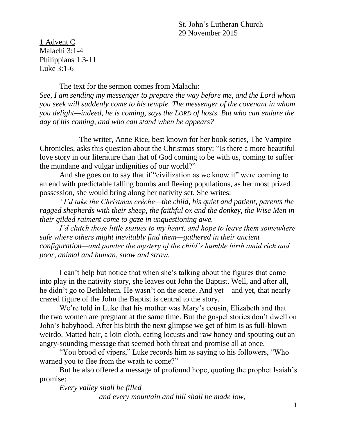St. John's Lutheran Church 29 November 2015

1 Advent C Malachi 3:1-4 Philippians 1:3-11 Luke  $3:1-6$ 

The text for the sermon comes from Malachi:

*See, I am sending my messenger to prepare the way before me, and the Lord whom you seek will suddenly come to his temple. The messenger of the covenant in whom you delight—indeed, he is coming, says the LORD of hosts. But who can endure the day of his coming, and who can stand when he appears?*

The writer, Anne Rice, best known for her book series, The Vampire Chronicles, asks this question about the Christmas story: "Is there a more beautiful love story in our literature than that of God coming to be with us, coming to suffer the mundane and vulgar indignities of our world?"

And she goes on to say that if "civilization as we know it" were coming to an end with predictable falling bombs and fleeing populations, as her most prized possession, she would bring along her nativity set. She writes:

*"I'd take the Christmas crèche—the child, his quiet and patient, parents the ragged shepherds with their sheep, the faithful ox and the donkey, the Wise Men in their gilded raiment come to gaze in unquestioning awe.*

*I'd clutch those little statues to my heart, and hope to leave them somewhere safe where others might inevitably find them—gathered in their ancient configuration—and ponder the mystery of the child's humble birth amid rich and poor, animal and human, snow and straw.*

I can't help but notice that when she's talking about the figures that come into play in the nativity story, she leaves out John the Baptist. Well, and after all, he didn't go to Bethlehem. He wasn't on the scene. And yet—and yet, that nearly crazed figure of the John the Baptist is central to the story.

We're told in Luke that his mother was Mary's cousin, Elizabeth and that the two women are pregnant at the same time. But the gospel stories don't dwell on John's babyhood. After his birth the next glimpse we get of him is as full-blown weirdo. Matted hair, a loin cloth, eating locusts and raw honey and spouting out an angry-sounding message that seemed both threat and promise all at once.

"You brood of vipers," Luke records him as saying to his followers, "Who warned you to flee from the wrath to come?"

But he also offered a message of profound hope, quoting the prophet Isaiah's promise:

*Every valley shall be filled and every mountain and hill shall be made low,*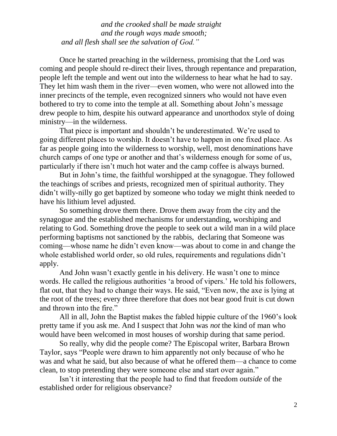*and the crooked shall be made straight and the rough ways made smooth; and all flesh shall see the salvation of God."*

Once he started preaching in the wilderness, promising that the Lord was coming and people should re-direct their lives, through repentance and preparation, people left the temple and went out into the wilderness to hear what he had to say. They let him wash them in the river—even women, who were not allowed into the inner precincts of the temple, even recognized sinners who would not have even bothered to try to come into the temple at all. Something about John's message drew people to him, despite his outward appearance and unorthodox style of doing ministry—in the wilderness.

That piece is important and shouldn't be underestimated. We're used to going different places to worship. It doesn't have to happen in one fixed place. As far as people going into the wilderness to worship, well, most denominations have church camps of one type or another and that's wilderness enough for some of us, particularly if there isn't much hot water and the camp coffee is always burned.

But in John's time, the faithful worshipped at the synagogue. They followed the teachings of scribes and priests, recognized men of spiritual authority. They didn't willy-nilly go get baptized by someone who today we might think needed to have his lithium level adjusted.

So something drove them there. Drove them away from the city and the synagogue and the established mechanisms for understanding, worshiping and relating to God. Something drove the people to seek out a wild man in a wild place performing baptisms not sanctioned by the rabbis, declaring that Someone was coming—whose name he didn't even know—was about to come in and change the whole established world order, so old rules, requirements and regulations didn't apply.

And John wasn't exactly gentle in his delivery. He wasn't one to mince words. He called the religious authorities 'a brood of vipers.' He told his followers, flat out, that they had to change their ways. He said, "Even now, the axe is lying at the root of the trees; every three therefore that does not bear good fruit is cut down and thrown into the fire."

All in all, John the Baptist makes the fabled hippie culture of the 1960's look pretty tame if you ask me. And I suspect that John was *not* the kind of man who would have been welcomed in most houses of worship during that same period.

So really, why did the people come? The Episcopal writer, Barbara Brown Taylor, says "People were drawn to him apparently not only because of who he was and what he said, but also because of what he offered them—a chance to come clean, to stop pretending they were someone else and start over again."

Isn't it interesting that the people had to find that freedom *outside* of the established order for religious observance?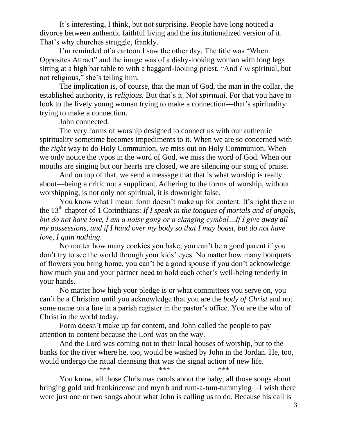It's interesting, I think, but not surprising. People have long noticed a divorce between authentic faithful living and the institutionalized version of it. That's why churches struggle, frankly.

I'm reminded of a cartoon I saw the other day. The title was "When Opposites Attract" and the image was of a dishy-looking woman with long legs sitting at a high bar table to with a haggard-looking priest. "And *I'm* spiritual, but not religious," she's telling him.

The implication is, of course, that the man of God, the man in the collar, the established authority, is *religious.* But that's it. Not *spiritual*. For that you have to look to the lively young woman trying to make a connection—that's spirituality: trying to make a connection.

John connected.

The very forms of worship designed to connect us with our authentic spirituality sometime becomes impediments to it. When we are so concerned with the *right* way to do Holy Communion, we miss out on Holy Communion. When we only notice the typos in the word of God, we miss the word of God. When our mouths are singing but our hearts are closed, we are silencing our song of praise.

And on top of that, we send a message that that is what worship is really about—being a critic not a supplicant. Adhering to the forms of worship, without worshipping, is not only not spiritual, it is downright false.

You know what I mean: form doesn't make up for content. It's right there in the 13<sup>th</sup> chapter of 1 Corinthians: *If I speak in the tongues of mortals and of angels*, *but do not have love, I am a noisy gong or a clanging cymbal…If I give away all my possessions, and if I hand over my body so that I may boast, but do not have love, I gain nothing*.

No matter how many cookies you bake, you can't be a good parent if you don't try to see the world through your kids' eyes. No matter how many bouquets of flowers you bring home, you can't be a good spouse if you don't acknowledge how much you and your partner need to hold each other's well-being tenderly in your hands.

No matter how high your pledge is or what committees you serve on, you can't be a Christian until you acknowledge that you are the *body of Christ* and not some name on a line in a parish register in the pastor's office. You are the who of Christ in the world today.

Form doesn't make up for content, and John called the people to pay attention to content because the Lord was on the way.

And the Lord was coming not to their local houses of worship, but to the banks for the river where he, too, would be washed by John in the Jordan. He, too, would undergo the ritual cleansing that was the signal action of new life.

\*\*\* \*\*\* \*\*\* \*\*\* You know, all those Christmas carols about the baby, all those songs about bringing gold and frankincense and myrrh and rum-a-tum-tummying—I wish there were just one or two songs about what John is calling us to do. Because his call is